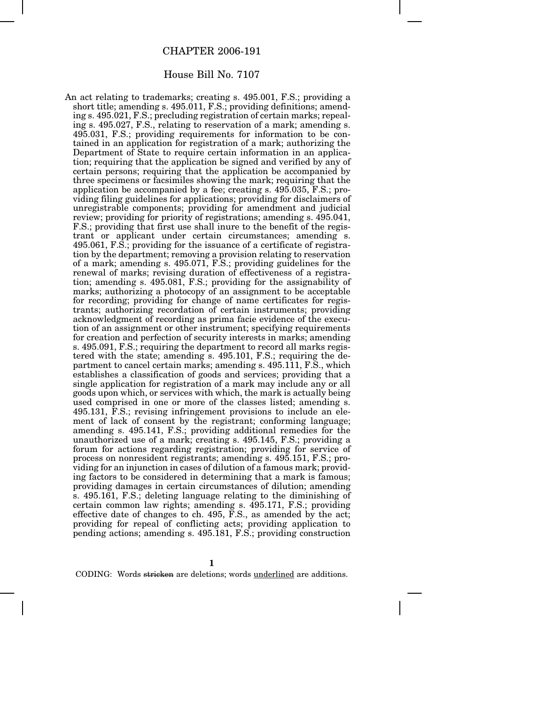## CHAPTER 2006-191

## House Bill No. 7107

An act relating to trademarks; creating s. 495.001, F.S.; providing a short title; amending s. 495.011, F.S.; providing definitions; amending s. 495.021, F.S.; precluding registration of certain marks; repealing s. 495.027, F.S., relating to reservation of a mark; amending s. 495.031, F.S.; providing requirements for information to be contained in an application for registration of a mark; authorizing the Department of State to require certain information in an application; requiring that the application be signed and verified by any of certain persons; requiring that the application be accompanied by three specimens or facsimiles showing the mark; requiring that the application be accompanied by a fee; creating s. 495.035, F.S.; providing filing guidelines for applications; providing for disclaimers of unregistrable components; providing for amendment and judicial review; providing for priority of registrations; amending s. 495.041, F.S.; providing that first use shall inure to the benefit of the registrant or applicant under certain circumstances; amending s. 495.061, F.S.; providing for the issuance of a certificate of registration by the department; removing a provision relating to reservation of a mark; amending s. 495.071, F.S.; providing guidelines for the renewal of marks; revising duration of effectiveness of a registration; amending s. 495.081, F.S.; providing for the assignability of marks; authorizing a photocopy of an assignment to be acceptable for recording; providing for change of name certificates for registrants; authorizing recordation of certain instruments; providing acknowledgment of recording as prima facie evidence of the execution of an assignment or other instrument; specifying requirements for creation and perfection of security interests in marks; amending s. 495.091, F.S.; requiring the department to record all marks registered with the state; amending s. 495.101, F.S.; requiring the department to cancel certain marks; amending s. 495.111, F.S., which establishes a classification of goods and services; providing that a single application for registration of a mark may include any or all goods upon which, or services with which, the mark is actually being used comprised in one or more of the classes listed; amending s. 495.131, F.S.; revising infringement provisions to include an element of lack of consent by the registrant; conforming language; amending s. 495.141, F.S.; providing additional remedies for the unauthorized use of a mark; creating s. 495.145, F.S.; providing a forum for actions regarding registration; providing for service of process on nonresident registrants; amending s. 495.151, F.S.; providing for an injunction in cases of dilution of a famous mark; providing factors to be considered in determining that a mark is famous; providing damages in certain circumstances of dilution; amending s. 495.161, F.S.; deleting language relating to the diminishing of certain common law rights; amending s. 495.171, F.S.; providing effective date of changes to ch. 495, F.S., as amended by the act; providing for repeal of conflicting acts; providing application to pending actions; amending s. 495.181, F.S.; providing construction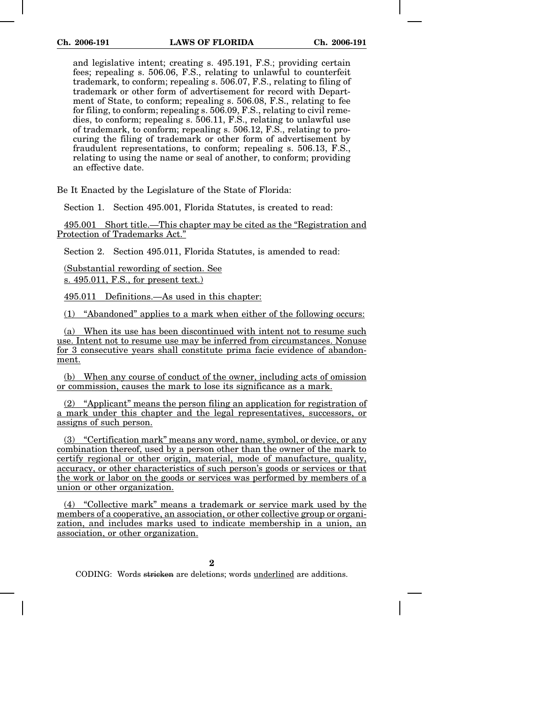and legislative intent; creating s. 495.191, F.S.; providing certain fees; repealing s. 506.06, F.S., relating to unlawful to counterfeit trademark, to conform; repealing s. 506.07, F.S., relating to filing of trademark or other form of advertisement for record with Department of State, to conform; repealing s. 506.08, F.S., relating to fee for filing, to conform; repealing s. 506.09, F.S., relating to civil remedies, to conform; repealing s. 506.11, F.S., relating to unlawful use of trademark, to conform; repealing s. 506.12, F.S., relating to procuring the filing of trademark or other form of advertisement by fraudulent representations, to conform; repealing s. 506.13, F.S., relating to using the name or seal of another, to conform; providing an effective date.

Be It Enacted by the Legislature of the State of Florida:

Section 1. Section 495.001, Florida Statutes, is created to read:

495.001 Short title.—This chapter may be cited as the "Registration and Protection of Trademarks Act."

Section 2. Section 495.011, Florida Statutes, is amended to read:

(Substantial rewording of section. See s. 495.011, F.S., for present text.)

495.011 Definitions.—As used in this chapter:

(1) "Abandoned" applies to a mark when either of the following occurs:

(a) When its use has been discontinued with intent not to resume such use. Intent not to resume use may be inferred from circumstances. Nonuse for 3 consecutive years shall constitute prima facie evidence of abandonment.

(b) When any course of conduct of the owner, including acts of omission or commission, causes the mark to lose its significance as a mark.

(2) "Applicant" means the person filing an application for registration of a mark under this chapter and the legal representatives, successors, or assigns of such person.

(3) "Certification mark" means any word, name, symbol, or device, or any combination thereof, used by a person other than the owner of the mark to certify regional or other origin, material, mode of manufacture, quality, accuracy, or other characteristics of such person's goods or services or that the work or labor on the goods or services was performed by members of a union or other organization.

(4) "Collective mark" means a trademark or service mark used by the members of a cooperative, an association, or other collective group or organization, and includes marks used to indicate membership in a union, an association, or other organization.

**2**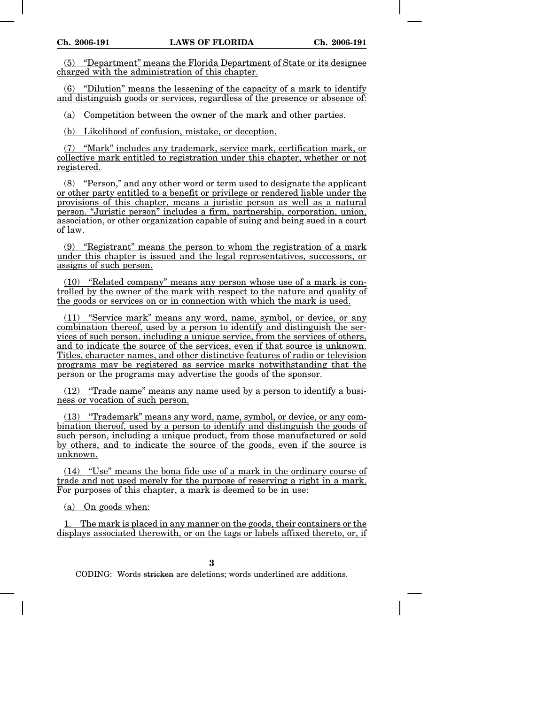(5) "Department" means the Florida Department of State or its designee charged with the administration of this chapter.

(6) "Dilution" means the lessening of the capacity of a mark to identify and distinguish goods or services, regardless of the presence or absence of:

(a) Competition between the owner of the mark and other parties.

(b) Likelihood of confusion, mistake, or deception.

(7) "Mark" includes any trademark, service mark, certification mark, or collective mark entitled to registration under this chapter, whether or not registered.

(8) "Person," and any other word or term used to designate the applicant or other party entitled to a benefit or privilege or rendered liable under the provisions of this chapter, means a juristic person as well as a natural person. "Juristic person" includes a firm, partnership, corporation, union, association, or other organization capable of suing and being sued in a court of law.

(9) "Registrant" means the person to whom the registration of a mark under this chapter is issued and the legal representatives, successors, or assigns of such person.

(10) "Related company" means any person whose use of a mark is controlled by the owner of the mark with respect to the nature and quality of the goods or services on or in connection with which the mark is used.

(11) "Service mark" means any word, name, symbol, or device, or any combination thereof, used by a person to identify and distinguish the services of such person, including a unique service, from the services of others, and to indicate the source of the services, even if that source is unknown. Titles, character names, and other distinctive features of radio or television programs may be registered as service marks notwithstanding that the person or the programs may advertise the goods of the sponsor.

(12) "Trade name" means any name used by a person to identify a business or vocation of such person.

(13) "Trademark" means any word, name, symbol, or device, or any combination thereof, used by a person to identify and distinguish the goods of such person, including a unique product, from those manufactured or sold by others, and to indicate the source of the goods, even if the source is unknown.

(14) "Use" means the bona fide use of a mark in the ordinary course of trade and not used merely for the purpose of reserving a right in a mark. For purposes of this chapter, a mark is deemed to be in use:

(a) On goods when:

1. The mark is placed in any manner on the goods, their containers or the displays associated therewith, or on the tags or labels affixed thereto, or, if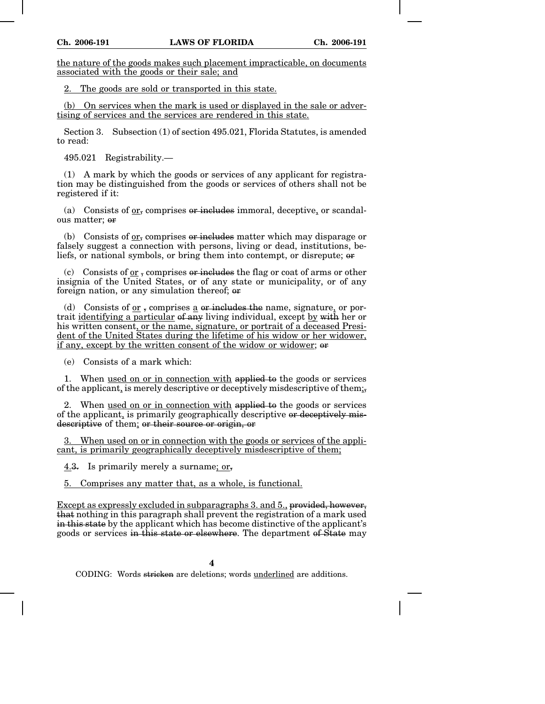the nature of the goods makes such placement impracticable, on documents associated with the goods or their sale; and

2. The goods are sold or transported in this state.

(b) On services when the mark is used or displayed in the sale or advertising of services and the services are rendered in this state.

Section 3. Subsection (1) of section 495.021, Florida Statutes, is amended to read:

495.021 Registrability.—

(1) A mark by which the goods or services of any applicant for registration may be distinguished from the goods or services of others shall not be registered if it:

(a) Consists of  $or_5$  comprises or includes immoral, deceptive, or scandalous matter; or

(b) Consists of  $or_5$  comprises or includes matter which may disparage or falsely suggest a connection with persons, living or dead, institutions, beliefs, or national symbols, or bring them into contempt, or disrepute; or

(c) Consists of or, comprises  $\theta$  includes the flag or coat of arms or other insignia of the United States, or of any state or municipality, or of any foreign nation, or any simulation thereof; or

(d) Consists of  $or$ , comprises a or includes the name, signature, or por-</u> trait identifying a particular of any living individual, except by with her or his written consent, or the name, signature, or portrait of a deceased President of the United States during the lifetime of his widow or her widower, if any, except by the written consent of the widow or widower; or

(e) Consists of a mark which:

1. When used on or in connection with applied to the goods or services of the applicant, is merely descriptive or deceptively misdescriptive of them;

2. When used on or in connection with applied to the goods or services of the applicant, is primarily geographically descriptive or deceptively misdescriptive of them; or their source or origin, or

3. When used on or in connection with the goods or services of the applicant, is primarily geographically deceptively misdescriptive of them;

4.3. Is primarily merely a surname; or,

5. Comprises any matter that, as a whole, is functional.

Except as expressly excluded in subparagraphs 3. and 5., provided, however, that nothing in this paragraph shall prevent the registration of a mark used in this state by the applicant which has become distinctive of the applicant's goods or services in this state or elsewhere. The department of State may

**4**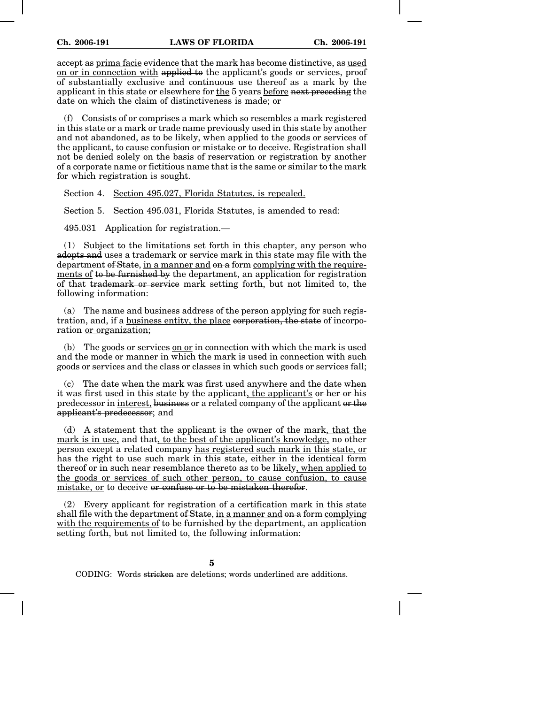accept as prima facie evidence that the mark has become distinctive, as used on or in connection with applied to the applicant's goods or services, proof of substantially exclusive and continuous use thereof as a mark by the applicant in this state or elsewhere for the 5 years before next preceding the date on which the claim of distinctiveness is made; or

(f) Consists of or comprises a mark which so resembles a mark registered in this state or a mark or trade name previously used in this state by another and not abandoned, as to be likely, when applied to the goods or services of the applicant, to cause confusion or mistake or to deceive. Registration shall not be denied solely on the basis of reservation or registration by another of a corporate name or fictitious name that is the same or similar to the mark for which registration is sought.

Section 4. Section 495.027, Florida Statutes, is repealed.

Section 5. Section 495.031, Florida Statutes, is amended to read:

495.031 Application for registration.—

(1) Subject to the limitations set forth in this chapter, any person who adopts and uses a trademark or service mark in this state may file with the department of State, in a manner and on a form complying with the requirements of to be furnished by the department, an application for registration of that trademark or service mark setting forth, but not limited to, the following information:

(a) The name and business address of the person applying for such registration, and, if a business entity, the place corporation, the state of incorporation or organization;

(b) The goods or services on or in connection with which the mark is used and the mode or manner in which the mark is used in connection with such goods or services and the class or classes in which such goods or services fall;

 $\alpha$ ) The date when the mark was first used anywhere and the date when it was first used in this state by the applicant, the applicant's or her or his predecessor in interest, business or a related company of the applicant or the applicant's predecessor; and

(d) A statement that the applicant is the owner of the mark, that the mark is in use, and that, to the best of the applicant's knowledge, no other person except a related company has registered such mark in this state, or has the right to use such mark in this state, either in the identical form thereof or in such near resemblance thereto as to be likely, when applied to the goods or services of such other person, to cause confusion, to cause mistake, or to deceive or confuse or to be mistaken therefor.

(2) Every applicant for registration of a certification mark in this state shall file with the department of State, in a manner and on a form complying with the requirements of to be furnished by the department, an application setting forth, but not limited to, the following information:

**5**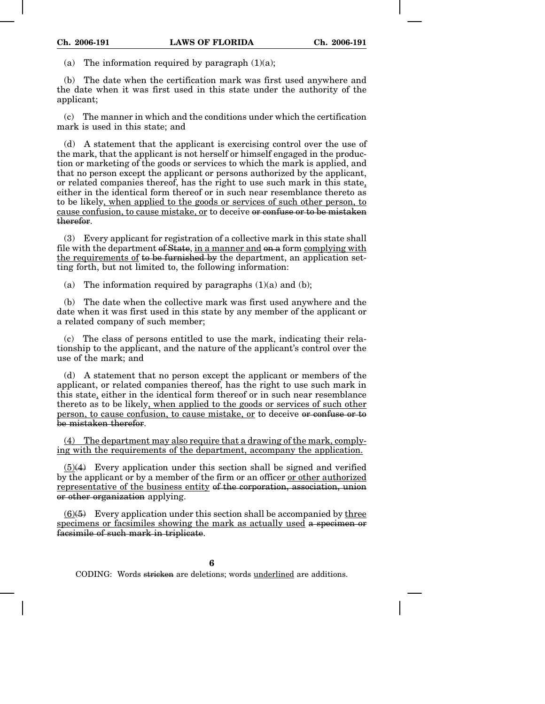(a) The information required by paragraph  $(1)(a)$ ;

(b) The date when the certification mark was first used anywhere and the date when it was first used in this state under the authority of the applicant;

(c) The manner in which and the conditions under which the certification mark is used in this state; and

(d) A statement that the applicant is exercising control over the use of the mark, that the applicant is not herself or himself engaged in the production or marketing of the goods or services to which the mark is applied, and that no person except the applicant or persons authorized by the applicant, or related companies thereof, has the right to use such mark in this state, either in the identical form thereof or in such near resemblance thereto as to be likely, when applied to the goods or services of such other person, to cause confusion, to cause mistake, or to deceive or confuse or to be mistaken therefor.

(3) Every applicant for registration of a collective mark in this state shall file with the department of State, in a manner and on a form complying with the requirements of to be furnished by the department, an application setting forth, but not limited to, the following information:

(a) The information required by paragraphs  $(1)(a)$  and  $(b)$ ;

(b) The date when the collective mark was first used anywhere and the date when it was first used in this state by any member of the applicant or a related company of such member;

(c) The class of persons entitled to use the mark, indicating their relationship to the applicant, and the nature of the applicant's control over the use of the mark; and

(d) A statement that no person except the applicant or members of the applicant, or related companies thereof, has the right to use such mark in this state, either in the identical form thereof or in such near resemblance thereto as to be likely, when applied to the goods or services of such other person, to cause confusion, to cause mistake, or to deceive or confuse or to be mistaken therefor.

(4) The department may also require that a drawing of the mark, complying with the requirements of the department, accompany the application.

(5)(4) Every application under this section shall be signed and verified by the applicant or by a member of the firm or an officer or other authorized representative of the business entity of the corporation, association, union or other organization applying.

 $(6)(5)$  Every application under this section shall be accompanied by three specimens or facsimiles showing the mark as actually used a specimen or facsimile of such mark in triplicate.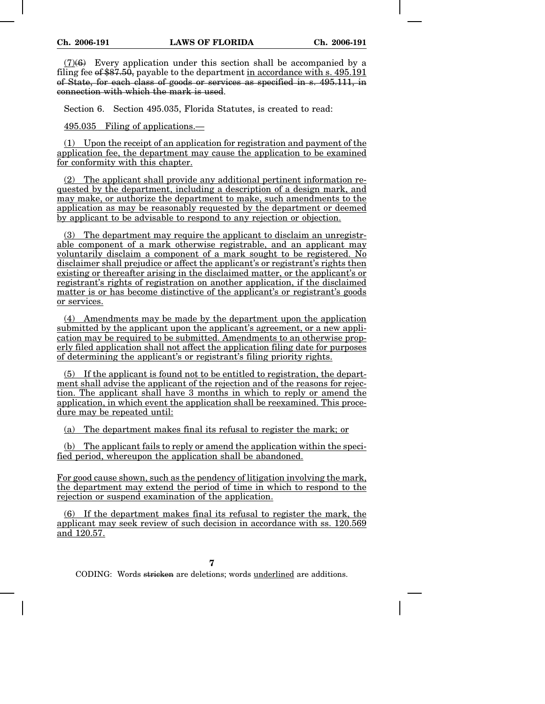$(7)(6)$  Every application under this section shall be accompanied by a filing fee of  $$87.50$ , payable to the department in accordance with s. 495.191 of State, for each class of goods or services as specified in s. 495.111, in connection with which the mark is used.

Section 6. Section 495.035, Florida Statutes, is created to read:

495.035 Filing of applications.—

(1) Upon the receipt of an application for registration and payment of the application fee, the department may cause the application to be examined for conformity with this chapter.

(2) The applicant shall provide any additional pertinent information requested by the department, including a description of a design mark, and may make, or authorize the department to make, such amendments to the application as may be reasonably requested by the department or deemed by applicant to be advisable to respond to any rejection or objection.

(3) The department may require the applicant to disclaim an unregistrable component of a mark otherwise registrable, and an applicant may voluntarily disclaim a component of a mark sought to be registered. No disclaimer shall prejudice or affect the applicant's or registrant's rights then existing or thereafter arising in the disclaimed matter, or the applicant's or registrant's rights of registration on another application, if the disclaimed matter is or has become distinctive of the applicant's or registrant's goods or services.

(4) Amendments may be made by the department upon the application submitted by the applicant upon the applicant's agreement, or a new application may be required to be submitted. Amendments to an otherwise properly filed application shall not affect the application filing date for purposes of determining the applicant's or registrant's filing priority rights.

(5) If the applicant is found not to be entitled to registration, the department shall advise the applicant of the rejection and of the reasons for rejection. The applicant shall have 3 months in which to reply or amend the application, in which event the application shall be reexamined. This procedure may be repeated until:

(a) The department makes final its refusal to register the mark; or

(b) The applicant fails to reply or amend the application within the specified period, whereupon the application shall be abandoned.

For good cause shown, such as the pendency of litigation involving the mark, the department may extend the period of time in which to respond to the rejection or suspend examination of the application.

(6) If the department makes final its refusal to register the mark, the applicant may seek review of such decision in accordance with ss. 120.569 and 120.57.

**7**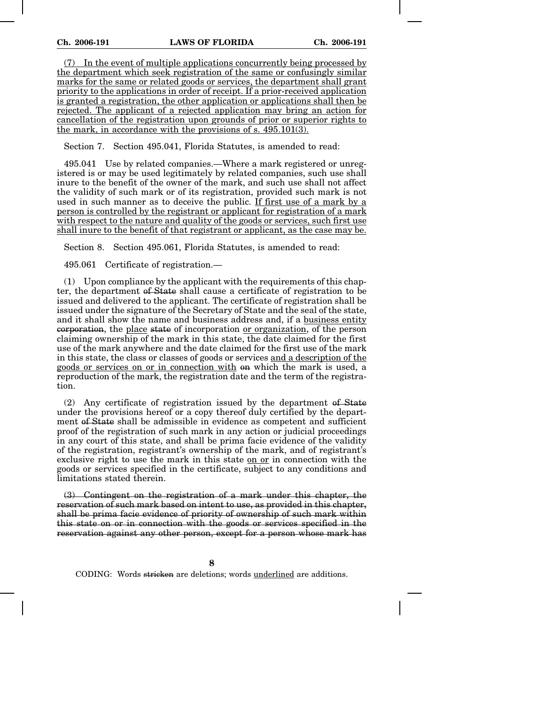(7) In the event of multiple applications concurrently being processed by the department which seek registration of the same or confusingly similar marks for the same or related goods or services, the department shall grant priority to the applications in order of receipt. If a prior-received application is granted a registration, the other application or applications shall then be rejected. The applicant of a rejected application may bring an action for cancellation of the registration upon grounds of prior or superior rights to the mark, in accordance with the provisions of s. 495.101(3).

Section 7. Section 495.041, Florida Statutes, is amended to read:

495.041 Use by related companies.—Where a mark registered or unregistered is or may be used legitimately by related companies, such use shall inure to the benefit of the owner of the mark, and such use shall not affect the validity of such mark or of its registration, provided such mark is not used in such manner as to deceive the public. If first use of a mark by a person is controlled by the registrant or applicant for registration of a mark with respect to the nature and quality of the goods or services, such first use shall inure to the benefit of that registrant or applicant, as the case may be.

Section 8. Section 495.061, Florida Statutes, is amended to read:

495.061 Certificate of registration.—

(1) Upon compliance by the applicant with the requirements of this chapter, the department of State shall cause a certificate of registration to be issued and delivered to the applicant. The certificate of registration shall be issued under the signature of the Secretary of State and the seal of the state, and it shall show the name and business address and, if a business entity corporation, the place state of incorporation or organization, of the person claiming ownership of the mark in this state, the date claimed for the first use of the mark anywhere and the date claimed for the first use of the mark in this state, the class or classes of goods or services and a description of the goods or services on or in connection with on which the mark is used, a reproduction of the mark, the registration date and the term of the registration.

(2) Any certificate of registration issued by the department of State under the provisions hereof or a copy thereof duly certified by the department of State shall be admissible in evidence as competent and sufficient proof of the registration of such mark in any action or judicial proceedings in any court of this state, and shall be prima facie evidence of the validity of the registration, registrant's ownership of the mark, and of registrant's exclusive right to use the mark in this state on or in connection with the goods or services specified in the certificate, subject to any conditions and limitations stated therein.

(3) Contingent on the registration of a mark under this chapter, the reservation of such mark based on intent to use, as provided in this chapter, shall be prima facie evidence of priority of ownership of such mark within this state on or in connection with the goods or services specified in the reservation against any other person, except for a person whose mark has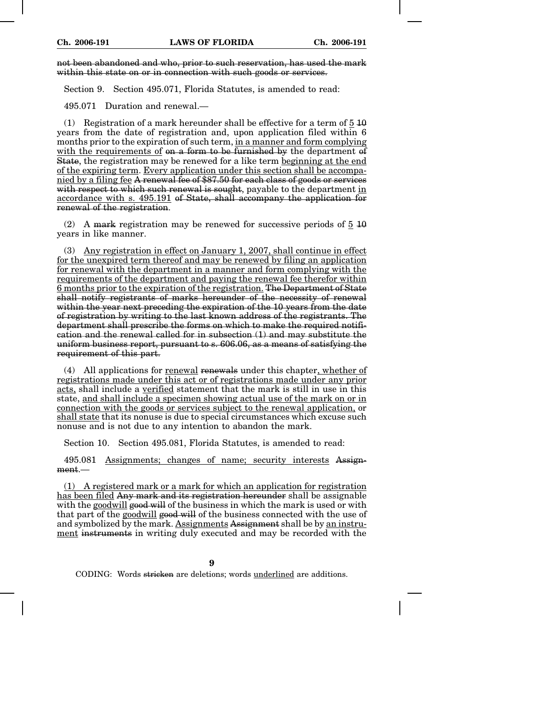not been abandoned and who, prior to such reservation, has used the mark within this state on or in connection with such goods or services.

Section 9. Section 495.071, Florida Statutes, is amended to read:

495.071 Duration and renewal.—

(1) Registration of a mark hereunder shall be effective for a term of  $5\,\overline{10}$ years from the date of registration and, upon application filed within 6 months prior to the expiration of such term, in a manner and form complying with the requirements of on a form to be furnished by the department of State, the registration may be renewed for a like term beginning at the end of the expiring term. Every application under this section shall be accompanied by a filing fee A renewal fee of \$87.50 for each class of goods or services with respect to which such renewal is sought, payable to the department in accordance with s. 495.191 of State, shall accompany the application for renewal of the registration.

(2) A mark registration may be renewed for successive periods of  $\frac{5}{9}$  10 years in like manner.

(3) Any registration in effect on January 1, 2007, shall continue in effect for the unexpired term thereof and may be renewed by filing an application for renewal with the department in a manner and form complying with the requirements of the department and paying the renewal fee therefor within 6 months prior to the expiration of the registration. The Department of State shall notify registrants of marks hereunder of the necessity of renewal within the year next preceding the expiration of the 10 years from the date of registration by writing to the last known address of the registrants. The department shall prescribe the forms on which to make the required notification and the renewal called for in subsection (1) and may substitute the uniform business report, pursuant to s. 606.06, as a means of satisfying the requirement of this part.

(4) All applications for renewal renewals under this chapter, whether of registrations made under this act or of registrations made under any prior acts, shall include a verified statement that the mark is still in use in this state, and shall include a specimen showing actual use of the mark on or in connection with the goods or services subject to the renewal application, or shall state that its nonuse is due to special circumstances which excuse such nonuse and is not due to any intention to abandon the mark.

Section 10. Section 495.081, Florida Statutes, is amended to read:

495.081 Assignments; changes of name; security interests Assignment.—

(1) A registered mark or a mark for which an application for registration has been filed Any mark and its registration hereunder shall be assignable with the goodwill good will of the business in which the mark is used or with that part of the goodwill good will of the business connected with the use of and symbolized by the mark. Assignments Assignment shall be by an instrument instruments in writing duly executed and may be recorded with the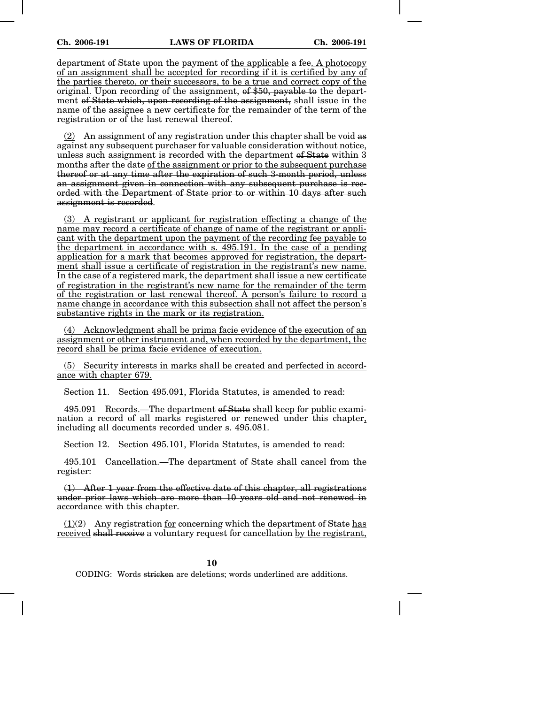department of State upon the payment of the applicable a fee. A photocopy of an assignment shall be accepted for recording if it is certified by any of the parties thereto, or their successors, to be a true and correct copy of the original. Upon recording of the assignment, of \$50, payable to the department of State which, upon recording of the assignment, shall issue in the name of the assignee a new certificate for the remainder of the term of the registration or of the last renewal thereof.

(2) An assignment of any registration under this chapter shall be void as against any subsequent purchaser for valuable consideration without notice, unless such assignment is recorded with the department of State within 3 months after the date of the assignment or prior to the subsequent purchase thereof or at any time after the expiration of such 3-month period, unless an assignment given in connection with any subsequent purchase is recorded with the Department of State prior to or within 10 days after such assignment is recorded.

(3) A registrant or applicant for registration effecting a change of the name may record a certificate of change of name of the registrant or applicant with the department upon the payment of the recording fee payable to the department in accordance with s. 495.191. In the case of a pending application for a mark that becomes approved for registration, the department shall issue a certificate of registration in the registrant's new name. In the case of a registered mark, the department shall issue a new certificate of registration in the registrant's new name for the remainder of the term of the registration or last renewal thereof. A person's failure to record a name change in accordance with this subsection shall not affect the person's substantive rights in the mark or its registration.

(4) Acknowledgment shall be prima facie evidence of the execution of an assignment or other instrument and, when recorded by the department, the record shall be prima facie evidence of execution.

(5) Security interests in marks shall be created and perfected in accordance with chapter 679.

Section 11. Section 495.091, Florida Statutes, is amended to read:

495.091 Records.—The department of State shall keep for public examination a record of all marks registered or renewed under this chapter, including all documents recorded under s. 495.081.

Section 12. Section 495.101, Florida Statutes, is amended to read:

495.101 Cancellation.—The department of State shall cancel from the register:

(1) After 1 year from the effective date of this chapter, all registrations under prior laws which are more than 10 years old and not renewed in accordance with this chapter.

 $(1)(2)$  Any registration for concerning which the department of State has received shall receive a voluntary request for cancellation by the registrant,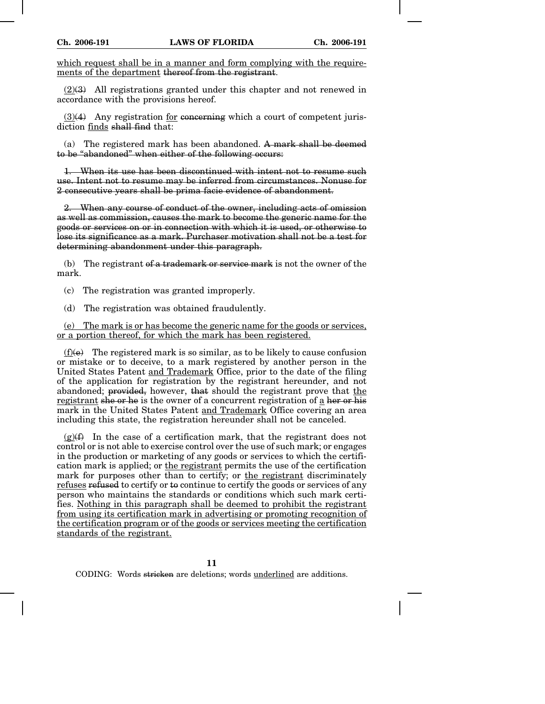which request shall be in a manner and form complying with the requirements of the department thereof from the registrant.

 $(2)(3)$  All registrations granted under this chapter and not renewed in accordance with the provisions hereof.

 $(3)(4)$  Any registration for concerning which a court of competent jurisdiction finds shall find that:

(a) The registered mark has been abandoned. A mark shall be deemed to be "abandoned" when either of the following occurs:

1. When its use has been discontinued with intent not to resume such use. Intent not to resume may be inferred from circumstances. Nonuse for 2 consecutive years shall be prima facie evidence of abandonment.

2. When any course of conduct of the owner, including acts of omission as well as commission, causes the mark to become the generic name for the goods or services on or in connection with which it is used, or otherwise to lose its significance as a mark. Purchaser motivation shall not be a test for determining abandonment under this paragraph.

(b) The registrant of a trademark or service mark is not the owner of the mark.

(c) The registration was granted improperly.

(d) The registration was obtained fraudulently.

(e) The mark is or has become the generic name for the goods or services, or a portion thereof, for which the mark has been registered.

 $(f)(e)$  The registered mark is so similar, as to be likely to cause confusion or mistake or to deceive, to a mark registered by another person in the United States Patent and Trademark Office, prior to the date of the filing of the application for registration by the registrant hereunder, and not abandoned; provided, however, that should the registrant prove that the registrant she or he is the owner of a concurrent registration of a her or his mark in the United States Patent and Trademark Office covering an area including this state, the registration hereunder shall not be canceled.

 $(g)(f)$  In the case of a certification mark, that the registrant does not control or is not able to exercise control over the use of such mark; or engages in the production or marketing of any goods or services to which the certification mark is applied; or the registrant permits the use of the certification mark for purposes other than to certify; or the registrant discriminately refuses refused to certify or to continue to certify the goods or services of any person who maintains the standards or conditions which such mark certifies. Nothing in this paragraph shall be deemed to prohibit the registrant from using its certification mark in advertising or promoting recognition of the certification program or of the goods or services meeting the certification standards of the registrant.

**11**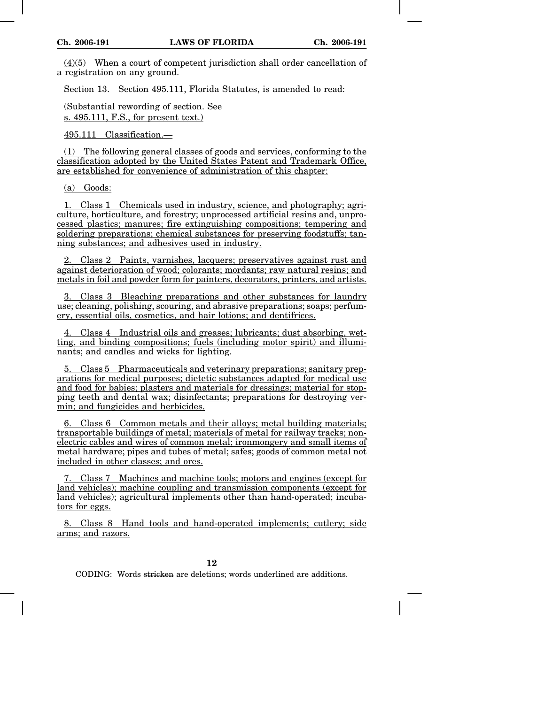$(4)(5)$  When a court of competent jurisdiction shall order cancellation of a registration on any ground.

Section 13. Section 495.111, Florida Statutes, is amended to read:

(Substantial rewording of section. See s. 495.111, F.S., for present text.)

495.111 Classification.—

(1) The following general classes of goods and services, conforming to the classification adopted by the United States Patent and Trademark Office, are established for convenience of administration of this chapter:

(a) Goods:

1. Class 1 Chemicals used in industry, science, and photography; agriculture, horticulture, and forestry; unprocessed artificial resins and, unprocessed plastics; manures; fire extinguishing compositions; tempering and soldering preparations; chemical substances for preserving foodstuffs; tanning substances; and adhesives used in industry.

2. Class 2 Paints, varnishes, lacquers; preservatives against rust and against deterioration of wood; colorants; mordants; raw natural resins; and metals in foil and powder form for painters, decorators, printers, and artists.

3. Class 3 Bleaching preparations and other substances for laundry use; cleaning, polishing, scouring, and abrasive preparations; soaps; perfumery, essential oils, cosmetics, and hair lotions; and dentifrices.

4. Class 4 Industrial oils and greases; lubricants; dust absorbing, wetting, and binding compositions; fuels (including motor spirit) and illuminants; and candles and wicks for lighting.

5. Class 5 Pharmaceuticals and veterinary preparations; sanitary preparations for medical purposes; dietetic substances adapted for medical use and food for babies; plasters and materials for dressings; material for stopping teeth and dental wax; disinfectants; preparations for destroying vermin; and fungicides and herbicides.

6. Class 6 Common metals and their alloys; metal building materials; transportable buildings of metal; materials of metal for railway tracks; nonelectric cables and wires of common metal; ironmongery and small items of metal hardware; pipes and tubes of metal; safes; goods of common metal not included in other classes; and ores.

7. Class 7 Machines and machine tools; motors and engines (except for land vehicles); machine coupling and transmission components (except for land vehicles); agricultural implements other than hand-operated; incubators for eggs.

8. Class 8 Hand tools and hand-operated implements; cutlery; side arms; and razors.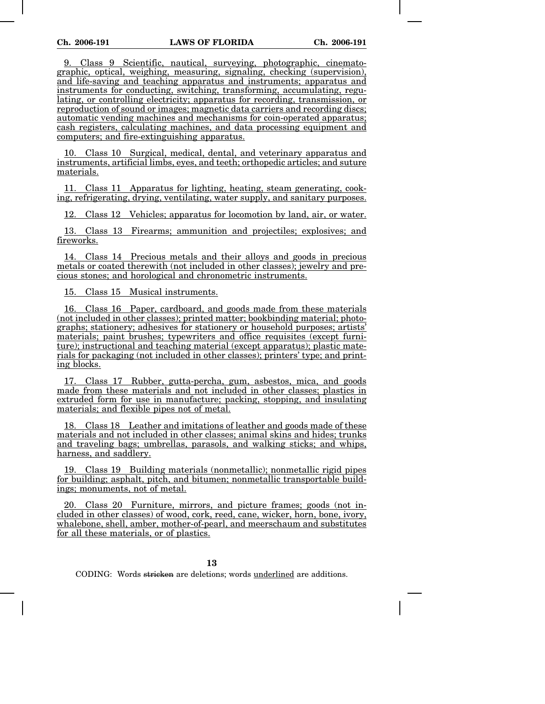9. Class 9 Scientific, nautical, surveying, photographic, cinematographic, optical, weighing, measuring, signaling, checking (supervision), and life-saving and teaching apparatus and instruments; apparatus and instruments for conducting, switching, transforming, accumulating, regulating, or controlling electricity; apparatus for recording, transmission, or reproduction of sound or images; magnetic data carriers and recording discs; automatic vending machines and mechanisms for coin-operated apparatus; cash registers, calculating machines, and data processing equipment and computers; and fire-extinguishing apparatus.

10. Class 10 Surgical, medical, dental, and veterinary apparatus and instruments, artificial limbs, eyes, and teeth; orthopedic articles; and suture materials.

11. Class 11 Apparatus for lighting, heating, steam generating, cooking, refrigerating, drying, ventilating, water supply, and sanitary purposes.

12. Class 12 Vehicles; apparatus for locomotion by land, air, or water.

13. Class 13 Firearms; ammunition and projectiles; explosives; and fireworks.

14. Class 14 Precious metals and their alloys and goods in precious metals or coated therewith (not included in other classes); jewelry and precious stones; and horological and chronometric instruments.

15. Class 15 Musical instruments.

16. Class 16 Paper, cardboard, and goods made from these materials (not included in other classes); printed matter; bookbinding material; photographs; stationery; adhesives for stationery or household purposes; artists' materials; paint brushes; typewriters and office requisites (except furniture); instructional and teaching material (except apparatus); plastic materials for packaging (not included in other classes); printers' type; and printing blocks.

17. Class 17 Rubber, gutta-percha, gum, asbestos, mica, and goods made from these materials and not included in other classes; plastics in extruded form for use in manufacture; packing, stopping, and insulating materials; and flexible pipes not of metal.

18. Class 18 Leather and imitations of leather and goods made of these materials and not included in other classes; animal skins and hides; trunks and traveling bags; umbrellas, parasols, and walking sticks; and whips, harness, and saddlery.

19. Class 19 Building materials (nonmetallic); nonmetallic rigid pipes for building; asphalt, pitch, and bitumen; nonmetallic transportable buildings; monuments, not of metal.

20. Class 20 Furniture, mirrors, and picture frames; goods (not included in other classes) of wood, cork, reed, cane, wicker, horn, bone, ivory, whalebone, shell, amber, mother-of-pearl, and meerschaum and substitutes for all these materials, or of plastics.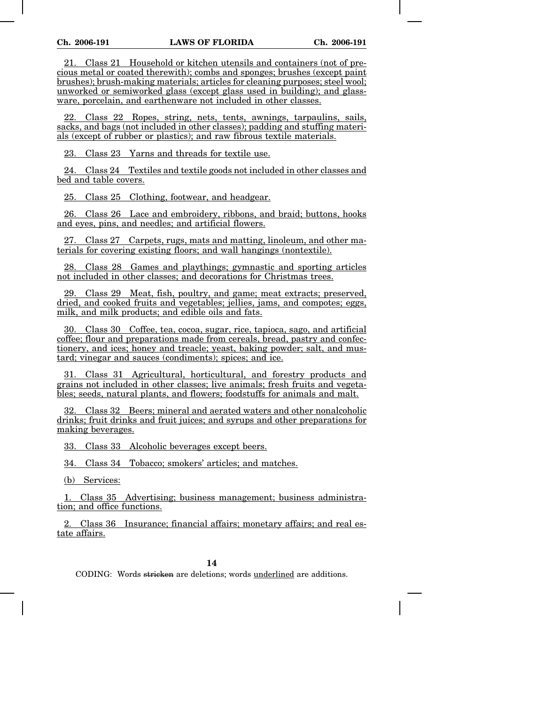21. Class 21 Household or kitchen utensils and containers (not of precious metal or coated therewith); combs and sponges; brushes (except paint brushes); brush-making materials; articles for cleaning purposes; steel wool; unworked or semiworked glass (except glass used in building); and glassware, porcelain, and earthenware not included in other classes.

22. Class 22 Ropes, string, nets, tents, awnings, tarpaulins, sails, sacks, and bags (not included in other classes); padding and stuffing materials (except of rubber or plastics); and raw fibrous textile materials.

23. Class 23 Yarns and threads for textile use.

24. Class 24 Textiles and textile goods not included in other classes and bed and table covers.

25. Class 25 Clothing, footwear, and headgear.

26. Class 26 Lace and embroidery, ribbons, and braid; buttons, hooks and eyes, pins, and needles; and artificial flowers.

27. Class 27 Carpets, rugs, mats and matting, linoleum, and other materials for covering existing floors; and wall hangings (nontextile).

28. Class 28 Games and playthings; gymnastic and sporting articles not included in other classes; and decorations for Christmas trees.

29. Class 29 Meat, fish, poultry, and game; meat extracts; preserved, dried, and cooked fruits and vegetables; jellies, jams, and compotes; eggs, milk, and milk products; and edible oils and fats.

30. Class 30 Coffee, tea, cocoa, sugar, rice, tapioca, sago, and artificial coffee; flour and preparations made from cereals, bread, pastry and confectionery, and ices; honey and treacle; yeast, baking powder; salt, and mustard; vinegar and sauces (condiments); spices; and ice.

31. Class 31 Agricultural, horticultural, and forestry products and grains not included in other classes; live animals; fresh fruits and vegetables; seeds, natural plants, and flowers; foodstuffs for animals and malt.

32. Class 32 Beers; mineral and aerated waters and other nonalcoholic drinks; fruit drinks and fruit juices; and syrups and other preparations for making beverages.

33. Class 33 Alcoholic beverages except beers.

34. Class 34 Tobacco; smokers' articles; and matches.

(b) Services:

1. Class 35 Advertising; business management; business administration; and office functions.

2. Class 36 Insurance; financial affairs; monetary affairs; and real estate affairs.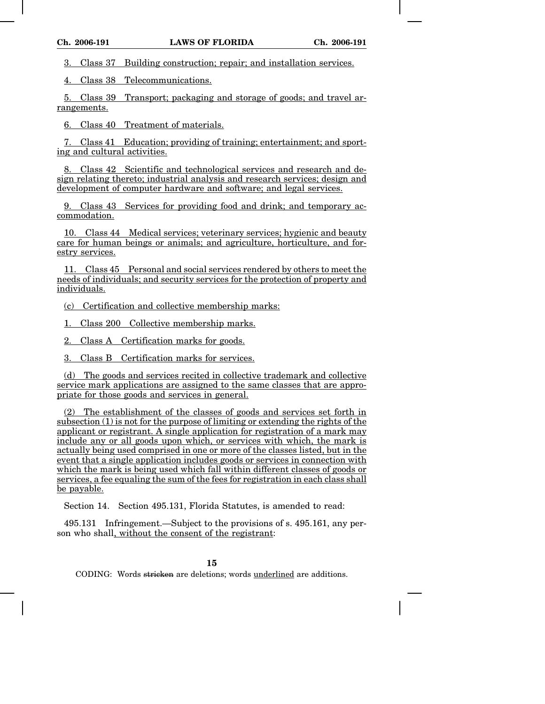3. Class 37 Building construction; repair; and installation services.

4. Class 38 Telecommunications.

5. Class 39 Transport; packaging and storage of goods; and travel arrangements.

6. Class 40 Treatment of materials.

7. Class 41 Education; providing of training; entertainment; and sporting and cultural activities.

8. Class 42 Scientific and technological services and research and design relating thereto; industrial analysis and research services; design and development of computer hardware and software; and legal services.

9. Class 43 Services for providing food and drink; and temporary accommodation.

10. Class 44 Medical services; veterinary services; hygienic and beauty care for human beings or animals; and agriculture, horticulture, and forestry services.

11. Class 45 Personal and social services rendered by others to meet the needs of individuals; and security services for the protection of property and individuals.

(c) Certification and collective membership marks:

1. Class 200 Collective membership marks.

2. Class A Certification marks for goods.

3. Class B Certification marks for services.

(d) The goods and services recited in collective trademark and collective service mark applications are assigned to the same classes that are appropriate for those goods and services in general.

(2) The establishment of the classes of goods and services set forth in subsection (1) is not for the purpose of limiting or extending the rights of the applicant or registrant. A single application for registration of a mark may include any or all goods upon which, or services with which, the mark is actually being used comprised in one or more of the classes listed, but in the event that a single application includes goods or services in connection with which the mark is being used which fall within different classes of goods or services, a fee equaling the sum of the fees for registration in each class shall be payable.

Section 14. Section 495.131, Florida Statutes, is amended to read:

495.131 Infringement.—Subject to the provisions of s. 495.161, any person who shall, without the consent of the registrant: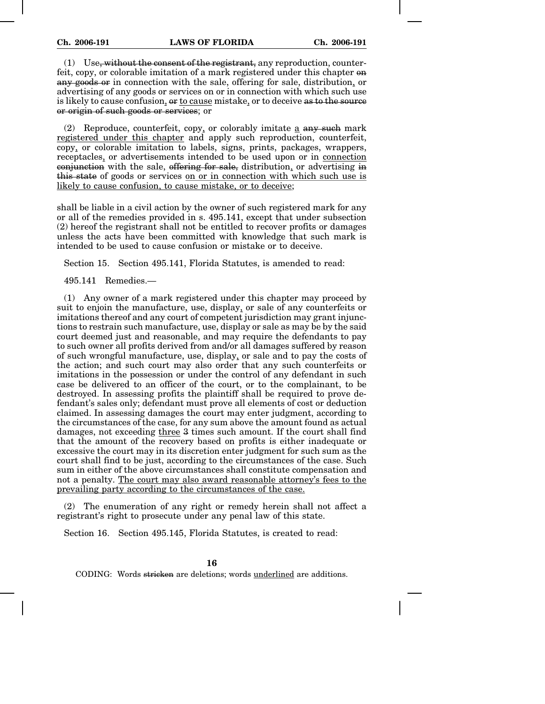$(1)$  Use, without the consent of the registrant, any reproduction, counterfeit, copy, or colorable imitation of a mark registered under this chapter on any goods or in connection with the sale, offering for sale, distribution, or advertising of any goods or services on or in connection with which such use is likely to cause confusion,  $\Theta$  to cause mistake, or to deceive as to the source or origin of such goods or services; or

(2) Reproduce, counterfeit, copy, or colorably imitate  $\underline{a}$  any such mark registered under this chapter and apply such reproduction, counterfeit, copy, or colorable imitation to labels, signs, prints, packages, wrappers, receptacles, or advertisements intended to be used upon or in connection conjunction with the sale, offering for sale, distribution, or advertising in this state of goods or services on or in connection with which such use is likely to cause confusion, to cause mistake, or to deceive;

shall be liable in a civil action by the owner of such registered mark for any or all of the remedies provided in s. 495.141, except that under subsection (2) hereof the registrant shall not be entitled to recover profits or damages unless the acts have been committed with knowledge that such mark is intended to be used to cause confusion or mistake or to deceive.

Section 15. Section 495.141, Florida Statutes, is amended to read:

495.141 Remedies.—

(1) Any owner of a mark registered under this chapter may proceed by suit to enjoin the manufacture, use, display, or sale of any counterfeits or imitations thereof and any court of competent jurisdiction may grant injunctions to restrain such manufacture, use, display or sale as may be by the said court deemed just and reasonable, and may require the defendants to pay to such owner all profits derived from and/or all damages suffered by reason of such wrongful manufacture, use, display, or sale and to pay the costs of the action; and such court may also order that any such counterfeits or imitations in the possession or under the control of any defendant in such case be delivered to an officer of the court, or to the complainant, to be destroyed. In assessing profits the plaintiff shall be required to prove defendant's sales only; defendant must prove all elements of cost or deduction claimed. In assessing damages the court may enter judgment, according to the circumstances of the case, for any sum above the amount found as actual damages, not exceeding three 3 times such amount. If the court shall find that the amount of the recovery based on profits is either inadequate or excessive the court may in its discretion enter judgment for such sum as the court shall find to be just, according to the circumstances of the case. Such sum in either of the above circumstances shall constitute compensation and not a penalty. The court may also award reasonable attorney's fees to the prevailing party according to the circumstances of the case.

(2) The enumeration of any right or remedy herein shall not affect a registrant's right to prosecute under any penal law of this state.

Section 16. Section 495.145, Florida Statutes, is created to read: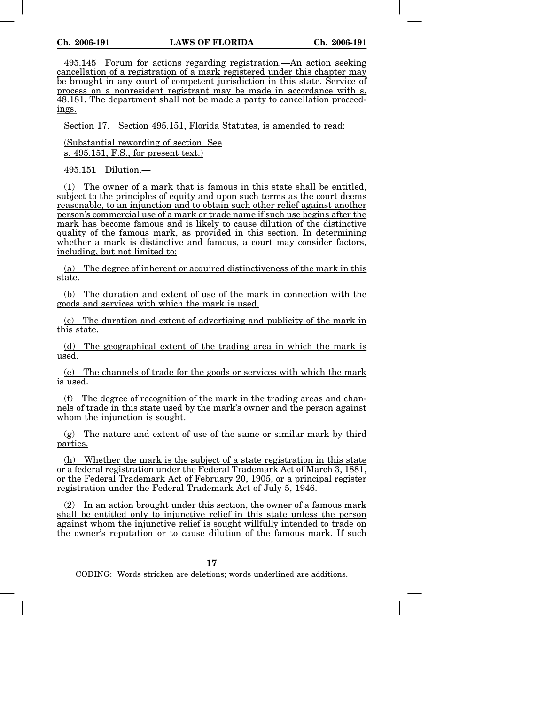495.145 Forum for actions regarding registration.—An action seeking cancellation of a registration of a mark registered under this chapter may be brought in any court of competent jurisdiction in this state. Service of process on a nonresident registrant may be made in accordance with s. 48.181. The department shall not be made a party to cancellation proceedings.

Section 17. Section 495.151, Florida Statutes, is amended to read:

(Substantial rewording of section. See s. 495.151, F.S., for present text.)

495.151 Dilution.—

(1) The owner of a mark that is famous in this state shall be entitled, subject to the principles of equity and upon such terms as the court deems reasonable, to an injunction and to obtain such other relief against another person's commercial use of a mark or trade name if such use begins after the mark has become famous and is likely to cause dilution of the distinctive quality of the famous mark, as provided in this section. In determining whether a mark is distinctive and famous, a court may consider factors, including, but not limited to:

(a) The degree of inherent or acquired distinctiveness of the mark in this state.

(b) The duration and extent of use of the mark in connection with the goods and services with which the mark is used.

(c) The duration and extent of advertising and publicity of the mark in this state.

(d) The geographical extent of the trading area in which the mark is used.

(e) The channels of trade for the goods or services with which the mark is used.

(f) The degree of recognition of the mark in the trading areas and channels of trade in this state used by the mark's owner and the person against whom the injunction is sought.

(g) The nature and extent of use of the same or similar mark by third parties.

(h) Whether the mark is the subject of a state registration in this state or a federal registration under the Federal Trademark Act of March 3, 1881, or the Federal Trademark Act of February 20, 1905, or a principal register registration under the Federal Trademark Act of July 5, 1946.

In an action brought under this section, the owner of a famous mark shall be entitled only to injunctive relief in this state unless the person against whom the injunctive relief is sought willfully intended to trade on the owner's reputation or to cause dilution of the famous mark. If such

**17**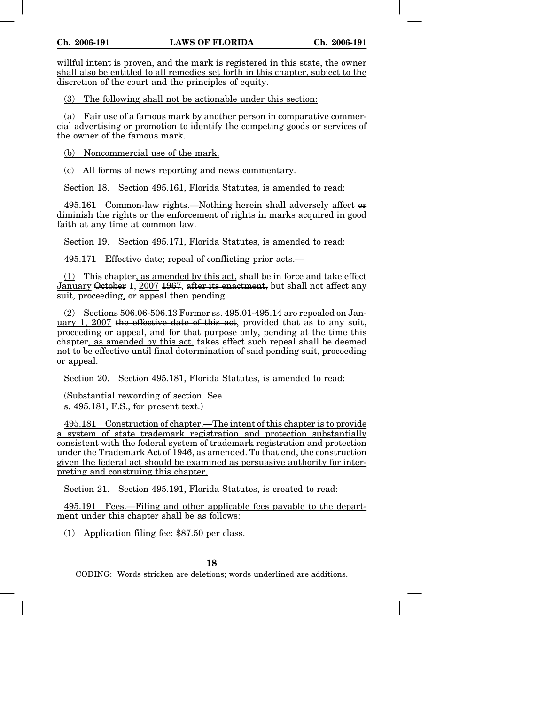willful intent is proven, and the mark is registered in this state, the owner shall also be entitled to all remedies set forth in this chapter, subject to the discretion of the court and the principles of equity.

(3) The following shall not be actionable under this section:

(a) Fair use of a famous mark by another person in comparative commercial advertising or promotion to identify the competing goods or services of the owner of the famous mark.

(b) Noncommercial use of the mark.

(c) All forms of news reporting and news commentary.

Section 18. Section 495.161, Florida Statutes, is amended to read:

495.161 Common-law rights.—Nothing herein shall adversely affect or diminish the rights or the enforcement of rights in marks acquired in good faith at any time at common law.

Section 19. Section 495.171, Florida Statutes, is amended to read:

495.171 Effective date; repeal of conflicting prior acts.—

(1) This chapter, as amended by this act, shall be in force and take effect January October 1, 2007 1967, after its enactment, but shall not affect any suit, proceeding, or appeal then pending.

 $(2)$  Sections 506.06-506.13 Former ss. 495.01-495.14 are repealed on January 1, 2007 the effective date of this act, provided that as to any suit, proceeding or appeal, and for that purpose only, pending at the time this chapter, as amended by this act, takes effect such repeal shall be deemed not to be effective until final determination of said pending suit, proceeding or appeal.

Section 20. Section 495.181, Florida Statutes, is amended to read:

(Substantial rewording of section. See s. 495.181, F.S., for present text.)

495.181 Construction of chapter.—The intent of this chapter is to provide a system of state trademark registration and protection substantially consistent with the federal system of trademark registration and protection under the Trademark Act of 1946, as amended. To that end, the construction given the federal act should be examined as persuasive authority for interpreting and construing this chapter.

Section 21. Section 495.191, Florida Statutes, is created to read:

495.191 Fees.—Filing and other applicable fees payable to the department under this chapter shall be as follows:

(1) Application filing fee: \$87.50 per class.